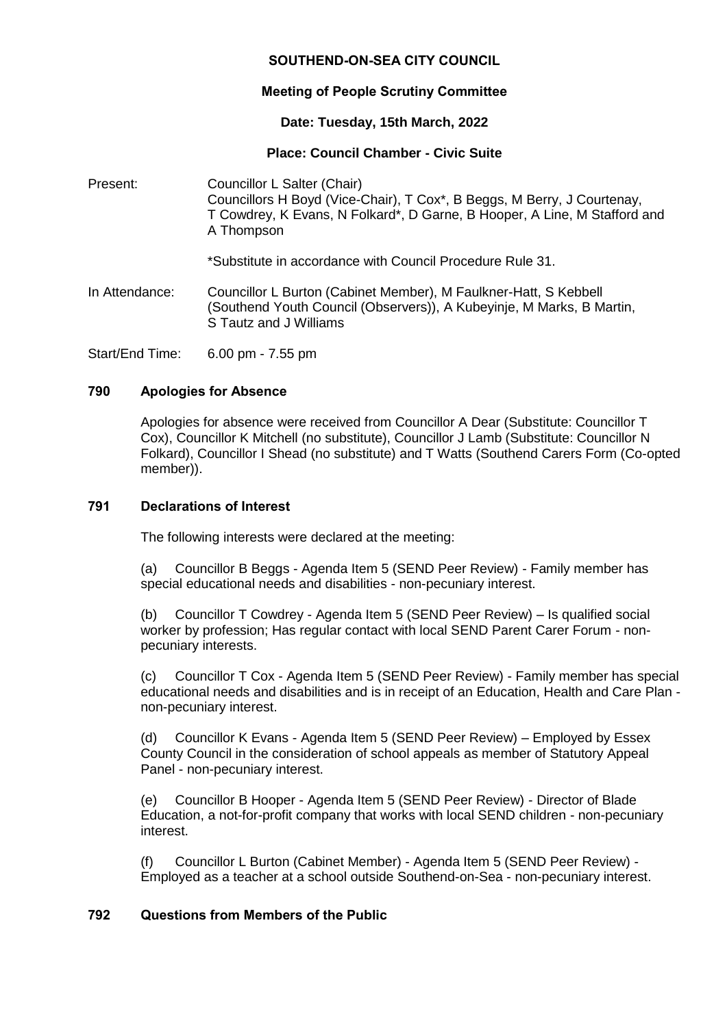# **SOUTHEND-ON-SEA CITY COUNCIL**

# **Meeting of People Scrutiny Committee**

### **Date: Tuesday, 15th March, 2022**

## **Place: Council Chamber - Civic Suite**

Present: Councillor L Salter (Chair) Councillors H Boyd (Vice-Chair), T Cox\*, B Beggs, M Berry, J Courtenay, T Cowdrey, K Evans, N Folkard\*, D Garne, B Hooper, A Line, M Stafford and A Thompson

\*Substitute in accordance with Council Procedure Rule 31.

In Attendance: Councillor L Burton (Cabinet Member), M Faulkner-Hatt, S Kebbell (Southend Youth Council (Observers)), A Kubeyinje, M Marks, B Martin, S Tautz and J Williams

Start/End Time: 6.00 pm - 7.55 pm

### **790 Apologies for Absence**

Apologies for absence were received from Councillor A Dear (Substitute: Councillor T Cox), Councillor K Mitchell (no substitute), Councillor J Lamb (Substitute: Councillor N Folkard), Councillor I Shead (no substitute) and T Watts (Southend Carers Form (Co-opted member)).

#### **791 Declarations of Interest**

The following interests were declared at the meeting:

(a) Councillor B Beggs - Agenda Item 5 (SEND Peer Review) - Family member has special educational needs and disabilities - non-pecuniary interest.

(b) Councillor T Cowdrey - Agenda Item 5 (SEND Peer Review) – Is qualified social worker by profession; Has regular contact with local SEND Parent Carer Forum - nonpecuniary interests.

(c) Councillor T Cox - Agenda Item 5 (SEND Peer Review) - Family member has special educational needs and disabilities and is in receipt of an Education, Health and Care Plan non-pecuniary interest.

(d) Councillor K Evans - Agenda Item 5 (SEND Peer Review) – Employed by Essex County Council in the consideration of school appeals as member of Statutory Appeal Panel - non-pecuniary interest.

(e) Councillor B Hooper - Agenda Item 5 (SEND Peer Review) - Director of Blade Education, a not-for-profit company that works with local SEND children - non-pecuniary interest.

(f) Councillor L Burton (Cabinet Member) - Agenda Item 5 (SEND Peer Review) - Employed as a teacher at a school outside Southend-on-Sea - non-pecuniary interest.

# **792 Questions from Members of the Public**